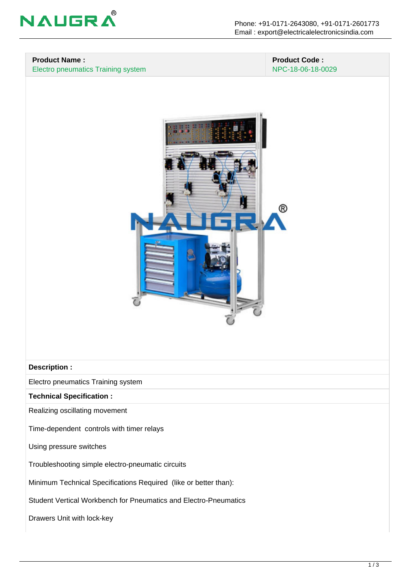

### **Product Name :** Electro pneumatics Training system

#### **Product Code :** NPC-18-06-18-0029



#### **Description :**

Electro pneumatics Training system

**Technical Specification :**

Realizing oscillating movement

Time-dependent controls with timer relays

Using pressure switches

Troubleshooting simple electro-pneumatic circuits

Minimum Technical Specifications Required (like or better than):

Student Vertical Workbench for Pneumatics and Electro-Pneumatics

Drawers Unit with lock-key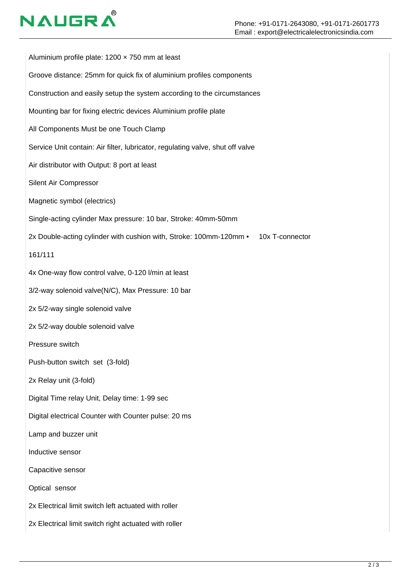# **NAUGR**

Aluminium profile plate:  $1200 \times 750$  mm at least Groove distance: 25mm for quick fix of aluminium profiles components Construction and easily setup the system according to the circumstances Mounting bar for fixing electric devices Aluminium profile plate All Components Must be one Touch Clamp Service Unit contain: Air filter, lubricator, regulating valve, shut off valve Air distributor with Output: 8 port at least Silent Air Compressor Magnetic symbol (electrics) Single-acting cylinder Max pressure: 10 bar, Stroke: 40mm-50mm 2x Double-acting cylinder with cushion with, Stroke: 100mm-120mm • 10x T-connector 161/111 4x One-way flow control valve, 0-120 l/min at least 3/2-way solenoid valve(N/C), Max Pressure: 10 bar 2x 5/2-way single solenoid valve 2x 5/2-way double solenoid valve Pressure switch Push-button switch set (3-fold) 2x Relay unit (3-fold) Digital Time relay Unit, Delay time: 1-99 sec Digital electrical Counter with Counter pulse: 20 ms Lamp and buzzer unit Inductive sensor Capacitive sensor Optical sensor 2x Electrical limit switch left actuated with roller 2x Electrical limit switch right actuated with roller